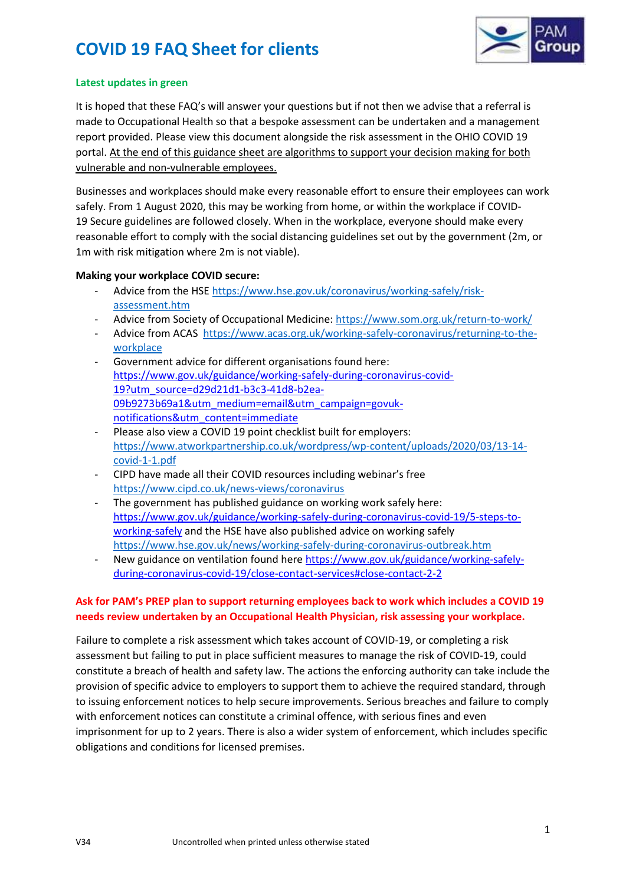

### **Latest updates in green**

It is hoped that these FAQ's will answer your questions but if not then we advise that a referral is made to Occupational Health so that a bespoke assessment can be undertaken and a management report provided. Please view this document alongside the risk assessment in the OHIO COVID 19 portal. At the end of this guidance sheet are algorithms to support your decision making for both vulnerable and non-vulnerable employees.

Businesses and workplaces should make every reasonable effort to ensure their employees can work safely. From 1 August 2020, this may be working from home, or within the workplace if COVID-19 Secure guidelines are followed closely. When in the workplace, everyone should make every reasonable effort to comply with the social distancing guidelines set out by the government (2m, or 1m with risk mitigation where 2m is not viable).

### **Making your workplace COVID secure:**

- Advice from the HSE [https://www.hse.gov.uk/coronavirus/working-safely/risk](https://www.hse.gov.uk/coronavirus/working-safely/risk-assessment.htm)[assessment.htm](https://www.hse.gov.uk/coronavirus/working-safely/risk-assessment.htm)
- Advice from Society of Occupational Medicine: <https://www.som.org.uk/return-to-work/>
- Advice from ACAS [https://www.acas.org.uk/working-safely-coronavirus/returning-to-the](https://www.acas.org.uk/working-safely-coronavirus/returning-to-the-workplace)[workplace](https://www.acas.org.uk/working-safely-coronavirus/returning-to-the-workplace)
- Government advice for different organisations found here: [https://www.gov.uk/guidance/working-safely-during-coronavirus-covid-](https://www.gov.uk/guidance/working-safely-during-coronavirus-covid-19?utm_source=d29d21d1-b3c3-41d8-b2ea-09b9273b69a1&utm_medium=email&utm_campaign=govuk-notifications&utm_content=immediate)[19?utm\\_source=d29d21d1-b3c3-41d8-b2ea-](https://www.gov.uk/guidance/working-safely-during-coronavirus-covid-19?utm_source=d29d21d1-b3c3-41d8-b2ea-09b9273b69a1&utm_medium=email&utm_campaign=govuk-notifications&utm_content=immediate)[09b9273b69a1&utm\\_medium=email&utm\\_campaign=govuk](https://www.gov.uk/guidance/working-safely-during-coronavirus-covid-19?utm_source=d29d21d1-b3c3-41d8-b2ea-09b9273b69a1&utm_medium=email&utm_campaign=govuk-notifications&utm_content=immediate)[notifications&utm\\_content=immediate](https://www.gov.uk/guidance/working-safely-during-coronavirus-covid-19?utm_source=d29d21d1-b3c3-41d8-b2ea-09b9273b69a1&utm_medium=email&utm_campaign=govuk-notifications&utm_content=immediate)
- Please also view a COVID 19 point checklist built for employers: [https://www.atworkpartnership.co.uk/wordpress/wp-content/uploads/2020/03/13-14](https://www.atworkpartnership.co.uk/wordpress/wp-content/uploads/2020/03/13-14-covid-1-1.pdf) [covid-1-1.pdf](https://www.atworkpartnership.co.uk/wordpress/wp-content/uploads/2020/03/13-14-covid-1-1.pdf)
- CIPD have made all their COVID resources including webinar's free <https://www.cipd.co.uk/news-views/coronavirus>
- The government has published guidance on working work safely here: [https://www.gov.uk/guidance/working-safely-during-coronavirus-covid-19/5-steps-to](https://www.gov.uk/guidance/working-safely-during-coronavirus-covid-19/5-steps-to-working-safely)[working-safely](https://www.gov.uk/guidance/working-safely-during-coronavirus-covid-19/5-steps-to-working-safely) and the HSE have also published advice on working safely <https://www.hse.gov.uk/news/working-safely-during-coronavirus-outbreak.htm>
- New guidance on ventilation found her[e https://www.gov.uk/guidance/working-safely](https://www.gov.uk/guidance/working-safely-during-coronavirus-covid-19/close-contact-services#close-contact-2-2)[during-coronavirus-covid-19/close-contact-services#close-contact-2-2](https://www.gov.uk/guidance/working-safely-during-coronavirus-covid-19/close-contact-services#close-contact-2-2)

## **Ask for PAM's PREP plan to support returning employees back to work which includes a COVID 19 needs review undertaken by an Occupational Health Physician, risk assessing your workplace.**

Failure to complete a risk assessment which takes account of COVID-19, or completing a risk assessment but failing to put in place sufficient measures to manage the risk of COVID-19, could constitute a breach of health and safety law. The actions the enforcing authority can take include the provision of specific advice to employers to support them to achieve the required standard, through to issuing enforcement notices to help secure improvements. Serious breaches and failure to comply with enforcement notices can constitute a criminal offence, with serious fines and even imprisonment for up to 2 years. There is also a wider system of enforcement, which includes specific obligations and conditions for licensed premises.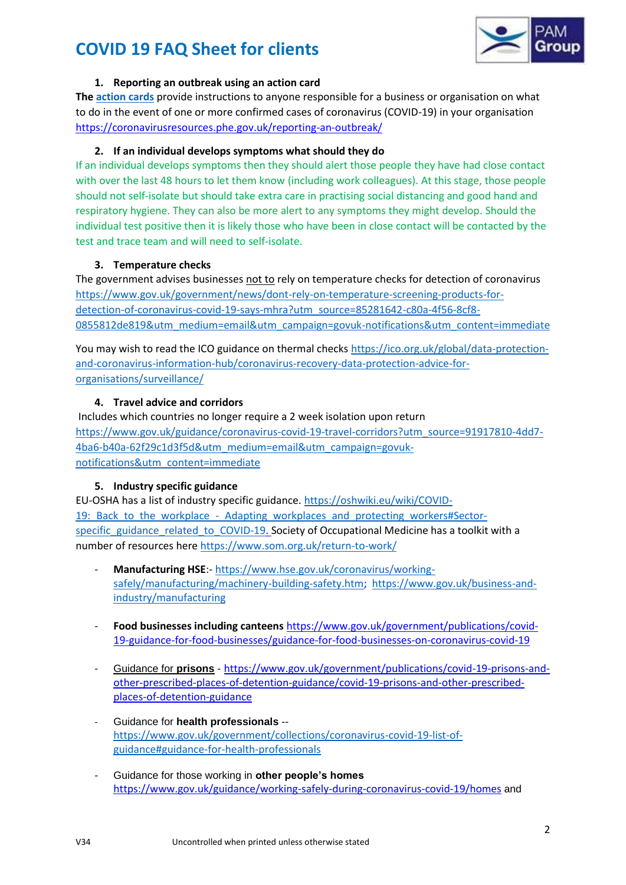

### **1. Reporting an outbreak using an action card**

**The [action cards](https://coronavirusresources.phe.gov.uk/reporting-an-outbreak/)** provide instructions to anyone responsible for a business or organisation on what to do in the event of one or more confirmed cases of coronavirus (COVID-19) in your organisation <https://coronavirusresources.phe.gov.uk/reporting-an-outbreak/>

## **2. If an individual develops symptoms what should they do**

If an individual develops symptoms then they should alert those people they have had close contact with over the last 48 hours to let them know (including work colleagues). At this stage, those people should not self-isolate but should take extra care in practising social distancing and good hand and respiratory hygiene. They can also be more alert to any symptoms they might develop. Should the individual test positive then it is likely those who have been in close contact will be contacted by the test and trace team and will need to self-isolate.

## **3. Temperature checks**

The government advises businesses not to rely on temperature checks for detection of coronavirus [https://www.gov.uk/government/news/dont-rely-on-temperature-screening-products-for](https://www.gov.uk/government/news/dont-rely-on-temperature-screening-products-for-detection-of-coronavirus-covid-19-says-mhra?utm_source=85281642-c80a-4f56-8cf8-0855812de819&utm_medium=email&utm_campaign=govuk-notifications&utm_content=immediate)[detection-of-coronavirus-covid-19-says-mhra?utm\\_source=85281642-c80a-4f56-8cf8-](https://www.gov.uk/government/news/dont-rely-on-temperature-screening-products-for-detection-of-coronavirus-covid-19-says-mhra?utm_source=85281642-c80a-4f56-8cf8-0855812de819&utm_medium=email&utm_campaign=govuk-notifications&utm_content=immediate) [0855812de819&utm\\_medium=email&utm\\_campaign=govuk-notifications&utm\\_content=immediate](https://www.gov.uk/government/news/dont-rely-on-temperature-screening-products-for-detection-of-coronavirus-covid-19-says-mhra?utm_source=85281642-c80a-4f56-8cf8-0855812de819&utm_medium=email&utm_campaign=govuk-notifications&utm_content=immediate)

You may wish to read the ICO guidance on thermal check[s https://ico.org.uk/global/data-protection](https://ico.org.uk/global/data-protection-and-coronavirus-information-hub/coronavirus-recovery-data-protection-advice-for-organisations/surveillance/)[and-coronavirus-information-hub/coronavirus-recovery-data-protection-advice-for](https://ico.org.uk/global/data-protection-and-coronavirus-information-hub/coronavirus-recovery-data-protection-advice-for-organisations/surveillance/)[organisations/surveillance/](https://ico.org.uk/global/data-protection-and-coronavirus-information-hub/coronavirus-recovery-data-protection-advice-for-organisations/surveillance/)

### **4. Travel advice and corridors**

Includes which countries no longer require a 2 week isolation upon return [https://www.gov.uk/guidance/coronavirus-covid-19-travel-corridors?utm\\_source=91917810-4dd7-](https://www.gov.uk/guidance/coronavirus-covid-19-travel-corridors?utm_source=91917810-4dd7-4ba6-b40a-62f29c1d3f5d&utm_medium=email&utm_campaign=govuk-notifications&utm_content=immediate) [4ba6-b40a-62f29c1d3f5d&utm\\_medium=email&utm\\_campaign=govuk](https://www.gov.uk/guidance/coronavirus-covid-19-travel-corridors?utm_source=91917810-4dd7-4ba6-b40a-62f29c1d3f5d&utm_medium=email&utm_campaign=govuk-notifications&utm_content=immediate)[notifications&utm\\_content=immediate](https://www.gov.uk/guidance/coronavirus-covid-19-travel-corridors?utm_source=91917810-4dd7-4ba6-b40a-62f29c1d3f5d&utm_medium=email&utm_campaign=govuk-notifications&utm_content=immediate)

## **5. Industry specific guidance**

EU-OSHA has a list of industry specific guidance. [https://oshwiki.eu/wiki/COVID-](https://oshwiki.eu/wiki/COVID-19:_Back_to_the_workplace_-_Adapting_workplaces_and_protecting_workers#Sector-specific_guidance_related_to_COVID-19)19: Back to the workplace - Adapting workplaces and protecting workers#Sectorspecific guidance related to COVID-19. Society of Occupational Medicine has a toolkit with a number of resources her[e https://www.som.org.uk/return-to-work/](https://www.som.org.uk/return-to-work/)

- **Manufacturing HSE**:- [https://www.hse.gov.uk/coronavirus/working](https://www.hse.gov.uk/coronavirus/working-safely/manufacturing/machinery-building-safety.htm)[safely/manufacturing/machinery-building-safety.htm;](https://www.hse.gov.uk/coronavirus/working-safely/manufacturing/machinery-building-safety.htm) [https://www.gov.uk/business-and](https://www.gov.uk/business-and-industry/manufacturing)[industry/manufacturing](https://www.gov.uk/business-and-industry/manufacturing)
- **Food businesses including canteens** [https://www.gov.uk/government/publications/covid-](https://www.gov.uk/government/publications/covid-19-guidance-for-food-businesses/guidance-for-food-businesses-on-coronavirus-covid-19)[19-guidance-for-food-businesses/guidance-for-food-businesses-on-coronavirus-covid-19](https://www.gov.uk/government/publications/covid-19-guidance-for-food-businesses/guidance-for-food-businesses-on-coronavirus-covid-19)
- [Guidance for](file://///DT-PAM/Company/COVID-19/COVID%2019%20calls%20and%20referrals/Day%201%20employee%20&%20employer%20FAQs/Guidance%20for%20prisons) **prisons** [https://www.gov.uk/government/publications/covid-19-prisons-and](https://www.gov.uk/government/publications/covid-19-prisons-and-other-prescribed-places-of-detention-guidance/covid-19-prisons-and-other-prescribed-places-of-detention-guidance)[other-prescribed-places-of-detention-guidance/covid-19-prisons-and-other-prescribed](https://www.gov.uk/government/publications/covid-19-prisons-and-other-prescribed-places-of-detention-guidance/covid-19-prisons-and-other-prescribed-places-of-detention-guidance)[places-of-detention-guidance](https://www.gov.uk/government/publications/covid-19-prisons-and-other-prescribed-places-of-detention-guidance/covid-19-prisons-and-other-prescribed-places-of-detention-guidance)
- Guidance for **[health professionals](https://www.gov.uk/government/collections/coronavirus-covid-19-list-of-guidance#guidance-for-health-professionals)** [https://www.gov.uk/government/collections/coronavirus-covid-19-list-of](https://www.gov.uk/government/collections/coronavirus-covid-19-list-of-guidance#guidance-for-health-professionals)[guidance#guidance-for-health-professionals](https://www.gov.uk/government/collections/coronavirus-covid-19-list-of-guidance#guidance-for-health-professionals)
- [Guidance for those working in](https://www.gov.uk/guidance/working-safely-during-coronavirus-covid-19/homes) **other people's homes** <https://www.gov.uk/guidance/working-safely-during-coronavirus-covid-19/homes> and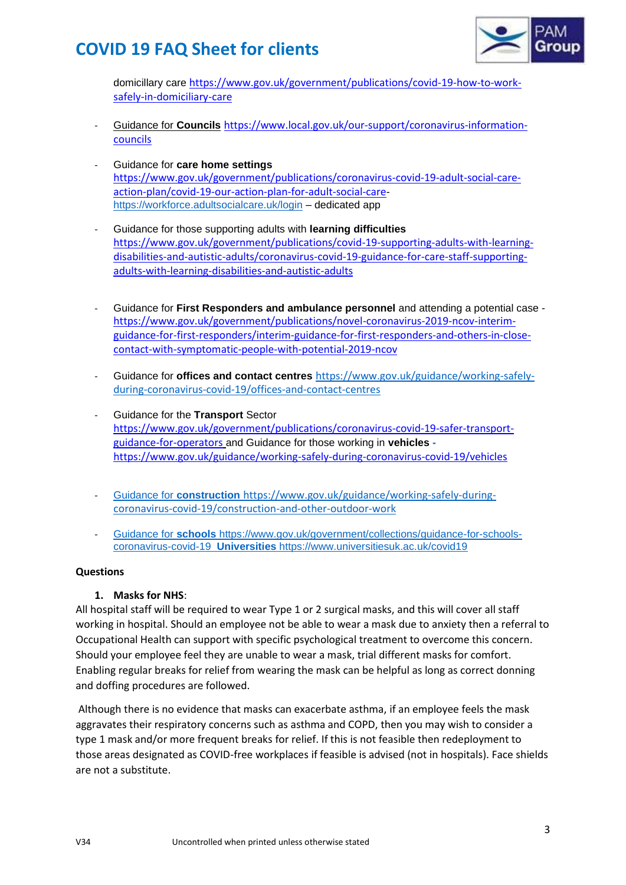

[domicillary care](https://www.gov.uk/government/publications/covid-19-how-to-work-safely-in-domiciliary-care) [https://www.gov.uk/government/publications/covid-19-how-to-work](https://www.gov.uk/government/publications/covid-19-how-to-work-safely-in-domiciliary-care)[safely-in-domiciliary-care](https://www.gov.uk/government/publications/covid-19-how-to-work-safely-in-domiciliary-care)

- [Guidance for](file://///DT-PAM/Company/COVID-19/COVID%2019%20calls%20and%20referrals/Day%201%20employee%20&%20employer%20FAQs/Guidance%20for%20Councils) **Councils** [https://www.local.gov.uk/our-support/coronavirus-information](https://www.local.gov.uk/our-support/coronavirus-information-councils)[councils](https://www.local.gov.uk/our-support/coronavirus-information-councils)
- Guidance for **[care home settings](https://www.gov.uk/government/publications/coronavirus-covid-19-adult-social-care-action-plan/covid-19-our-action-plan-for-adult-social-care)** [https://www.gov.uk/government/publications/coronavirus-covid-19-adult-social-care](https://www.gov.uk/government/publications/coronavirus-covid-19-adult-social-care-action-plan/covid-19-our-action-plan-for-adult-social-care)[action-plan/covid-19-our-action-plan-for-adult-social-care](https://www.gov.uk/government/publications/coronavirus-covid-19-adult-social-care-action-plan/covid-19-our-action-plan-for-adult-social-care)<https://workforce.adultsocialcare.uk/login> – dedicated app
- [Guidance for those supporting adults with](https://www.gov.uk/government/publications/covid-19-supporting-adults-with-learning-disabilities-and-autistic-adults/coronavirus-covid-19-guidance-for-care-staff-supporting-adults-with-learning-disabilities-and-autistic-adults) **learning difficulties** [https://www.gov.uk/government/publications/covid-19-supporting-adults-with-learning](https://www.gov.uk/government/publications/covid-19-supporting-adults-with-learning-disabilities-and-autistic-adults/coronavirus-covid-19-guidance-for-care-staff-supporting-adults-with-learning-disabilities-and-autistic-adults)[disabilities-and-autistic-adults/coronavirus-covid-19-guidance-for-care-staff-supporting](https://www.gov.uk/government/publications/covid-19-supporting-adults-with-learning-disabilities-and-autistic-adults/coronavirus-covid-19-guidance-for-care-staff-supporting-adults-with-learning-disabilities-and-autistic-adults)[adults-with-learning-disabilities-and-autistic-adults](https://www.gov.uk/government/publications/covid-19-supporting-adults-with-learning-disabilities-and-autistic-adults/coronavirus-covid-19-guidance-for-care-staff-supporting-adults-with-learning-disabilities-and-autistic-adults)
- Guidance for **First Responders and ambulance personnel** and attending a potential case [https://www.gov.uk/government/publications/novel-coronavirus-2019-ncov-interim](https://www.gov.uk/government/publications/novel-coronavirus-2019-ncov-interim-guidance-for-first-responders/interim-guidance-for-first-responders-and-others-in-close-contact-with-symptomatic-people-with-potential-2019-ncov)[guidance-for-first-responders/interim-guidance-for-first-responders-and-others-in-close](https://www.gov.uk/government/publications/novel-coronavirus-2019-ncov-interim-guidance-for-first-responders/interim-guidance-for-first-responders-and-others-in-close-contact-with-symptomatic-people-with-potential-2019-ncov)[contact-with-symptomatic-people-with-potential-2019-ncov](https://www.gov.uk/government/publications/novel-coronavirus-2019-ncov-interim-guidance-for-first-responders/interim-guidance-for-first-responders-and-others-in-close-contact-with-symptomatic-people-with-potential-2019-ncov)
- Guidance for **[offices and contact centres](https://www.gov.uk/guidance/working-safely-during-coronavirus-covid-19/offices-and-contact-centres)** [https://www.gov.uk/guidance/working-safely](https://www.gov.uk/guidance/working-safely-during-coronavirus-covid-19/offices-and-contact-centres)[during-coronavirus-covid-19/offices-and-contact-centres](https://www.gov.uk/guidance/working-safely-during-coronavirus-covid-19/offices-and-contact-centres)
- [Guidance for the](https://www.gov.uk/government/publications/covid-19-guidance-for-staff-in-the-transport-sector) **Transport** Sector [https://www.gov.uk/government/publications/coronavirus-covid-19-safer-transport](https://www.gov.uk/government/publications/coronavirus-covid-19-safer-transport-guidance-for-operators)[guidance-for-operators](https://www.gov.uk/government/publications/coronavirus-covid-19-safer-transport-guidance-for-operators) and [Guidance for those working in](https://www.gov.uk/guidance/working-safely-during-coronavirus-covid-19/vehicles) **vehicles**  <https://www.gov.uk/guidance/working-safely-during-coronavirus-covid-19/vehicles>
- Guidance for **construction** [https://www.gov.uk/guidance/working-safely-during](file://///DT-PAM/Company/COVID-19/COVID%2019%20calls%20and%20referrals/Day%201%20employee%20&%20employer%20FAQs/Guidance%20for%20construction%20https:/www.gov.uk/guidance/working-safely-during-coronavirus-covid-19/construction-and-other-outdoor-work)[coronavirus-covid-19/construction-and-other-outdoor-work](file://///DT-PAM/Company/COVID-19/COVID%2019%20calls%20and%20referrals/Day%201%20employee%20&%20employer%20FAQs/Guidance%20for%20construction%20https:/www.gov.uk/guidance/working-safely-during-coronavirus-covid-19/construction-and-other-outdoor-work)
- Guidance for **schools** [https://www.gov.uk/government/collections/guidance-for-schools](file://///DT-PAM/Company/COVID-19/COVID%2019%20calls%20and%20referrals/Day%201%20employee%20&%20employer%20FAQs/Guidance%20for%20schools%20https:/www.gov.uk/government/collections/guidance-for-schools-coronavirus-covid-19%20%20Universities%20https:/www.universitiesuk.ac.uk/covid19)coronavirus-covid-19 **Universities** [https://www.universitiesuk.ac.uk/covid19](file://///DT-PAM/Company/COVID-19/COVID%2019%20calls%20and%20referrals/Day%201%20employee%20&%20employer%20FAQs/Guidance%20for%20schools%20https:/www.gov.uk/government/collections/guidance-for-schools-coronavirus-covid-19%20%20Universities%20https:/www.universitiesuk.ac.uk/covid19)

### **Questions**

## **1. Masks for NHS**:

All hospital staff will be required to wear Type 1 or 2 surgical masks, and this will cover all staff working in hospital. Should an employee not be able to wear a mask due to anxiety then a referral to Occupational Health can support with specific psychological treatment to overcome this concern. Should your employee feel they are unable to wear a mask, trial different masks for comfort. Enabling regular breaks for relief from wearing the mask can be helpful as long as correct donning and doffing procedures are followed.

Although there is no evidence that masks can exacerbate asthma, if an employee feels the mask aggravates their respiratory concerns such as asthma and COPD, then you may wish to consider a type 1 mask and/or more frequent breaks for relief. If this is not feasible then redeployment to those areas designated as COVID-free workplaces if feasible is advised (not in hospitals). Face shields are not a substitute.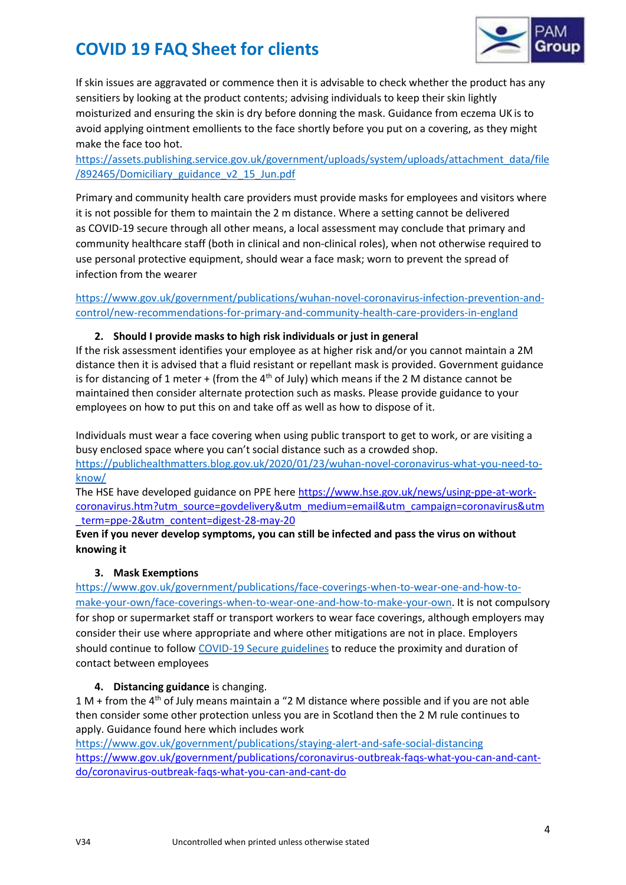

If skin issues are aggravated or commence then it is advisable to check whether the product has any sensitiers by looking at the product contents; advising individuals to keep their skin lightly moisturized and ensuring the skin is dry before donning the mask. Guidance from eczema UK is to avoid applying ointment emollients to the face shortly before you put on a covering, as they might make the face too hot.

[https://assets.publishing.service.gov.uk/government/uploads/system/uploads/attachment\\_data/file](https://assets.publishing.service.gov.uk/government/uploads/system/uploads/attachment_data/file/892465/Domiciliary_guidance_v2_15_Jun.pdf) [/892465/Domiciliary\\_guidance\\_v2\\_15\\_Jun.pdf](https://assets.publishing.service.gov.uk/government/uploads/system/uploads/attachment_data/file/892465/Domiciliary_guidance_v2_15_Jun.pdf)

Primary and community health care providers must provide masks for employees and visitors where it is not possible for them to maintain the 2 m distance. Where a setting cannot be delivered as COVID-19 secure through all other means, a local assessment may conclude that primary and community healthcare staff (both in clinical and non-clinical roles), when not otherwise required to use personal protective equipment, should wear a face mask; worn to prevent the spread of infection from the wearer

[https://www.gov.uk/government/publications/wuhan-novel-coronavirus-infection-prevention-and](https://www.gov.uk/government/publications/wuhan-novel-coronavirus-infection-prevention-and-control/new-recommendations-for-primary-and-community-health-care-providers-in-england)[control/new-recommendations-for-primary-and-community-health-care-providers-in-england](https://www.gov.uk/government/publications/wuhan-novel-coronavirus-infection-prevention-and-control/new-recommendations-for-primary-and-community-health-care-providers-in-england)

### **2. Should I provide masks to high risk individuals or just in general**

If the risk assessment identifies your employee as at higher risk and/or you cannot maintain a 2M distance then it is advised that a fluid resistant or repellant mask is provided. Government guidance is for distancing of 1 meter + (from the  $4<sup>th</sup>$  of July) which means if the 2 M distance cannot be maintained then consider alternate protection such as masks. Please provide guidance to your employees on how to put this on and take off as well as how to dispose of it.

Individuals must wear a face covering when using public transport to get to work, or are visiting a busy enclosed space where you can't social distance such as a crowded shop. [https://publichealthmatters.blog.gov.uk/2020/01/23/wuhan-novel-coronavirus-what-you-need-to](https://publichealthmatters.blog.gov.uk/2020/01/23/wuhan-novel-coronavirus-what-you-need-to-know/)[know/](https://publichealthmatters.blog.gov.uk/2020/01/23/wuhan-novel-coronavirus-what-you-need-to-know/)

The HSE have developed guidance on PPE her[e https://www.hse.gov.uk/news/using-ppe-at-work](https://www.hse.gov.uk/news/using-ppe-at-work-coronavirus.htm?utm_source=govdelivery&utm_medium=email&utm_campaign=coronavirus&utm_term=ppe-2&utm_content=digest-28-may-20)[coronavirus.htm?utm\\_source=govdelivery&utm\\_medium=email&utm\\_campaign=coronavirus&utm](https://www.hse.gov.uk/news/using-ppe-at-work-coronavirus.htm?utm_source=govdelivery&utm_medium=email&utm_campaign=coronavirus&utm_term=ppe-2&utm_content=digest-28-may-20) [\\_term=ppe-2&utm\\_content=digest-28-may-20](https://www.hse.gov.uk/news/using-ppe-at-work-coronavirus.htm?utm_source=govdelivery&utm_medium=email&utm_campaign=coronavirus&utm_term=ppe-2&utm_content=digest-28-may-20)

**Even if you never develop symptoms, you can still be infected and pass the virus on without knowing it**

### **3. Mask Exemptions**

[https://www.gov.uk/government/publications/face-coverings-when-to-wear-one-and-how-to](https://www.gov.uk/government/publications/face-coverings-when-to-wear-one-and-how-to-make-your-own/face-coverings-when-to-wear-one-and-how-to-make-your-own)[make-your-own/face-coverings-when-to-wear-one-and-how-to-make-your-own.](https://www.gov.uk/government/publications/face-coverings-when-to-wear-one-and-how-to-make-your-own/face-coverings-when-to-wear-one-and-how-to-make-your-own) It is not compulsory for shop or supermarket staff or transport workers to wear face coverings, although employers may consider their use where appropriate and where other mitigations are not in place. Employers should continue to follow [COVID-19 Secure guidelines](https://www.gov.uk/guidance/working-safely-during-coronavirus-covid-19) to reduce the proximity and duration of contact between employees

## **4. Distancing guidance** is changing.

 $1 M +$  from the 4<sup>th</sup> of July means maintain a "2 M distance where possible and if you are not able then consider some other protection unless you are in Scotland then the 2 M rule continues to apply. Guidance found here which includes work

<https://www.gov.uk/government/publications/staying-alert-and-safe-social-distancing> [https://www.gov.uk/government/publications/coronavirus-outbreak-faqs-what-you-can-and-cant](https://www.gov.uk/government/publications/coronavirus-outbreak-faqs-what-you-can-and-cant-do/coronavirus-outbreak-faqs-what-you-can-and-cant-do)[do/coronavirus-outbreak-faqs-what-you-can-and-cant-do](https://www.gov.uk/government/publications/coronavirus-outbreak-faqs-what-you-can-and-cant-do/coronavirus-outbreak-faqs-what-you-can-and-cant-do)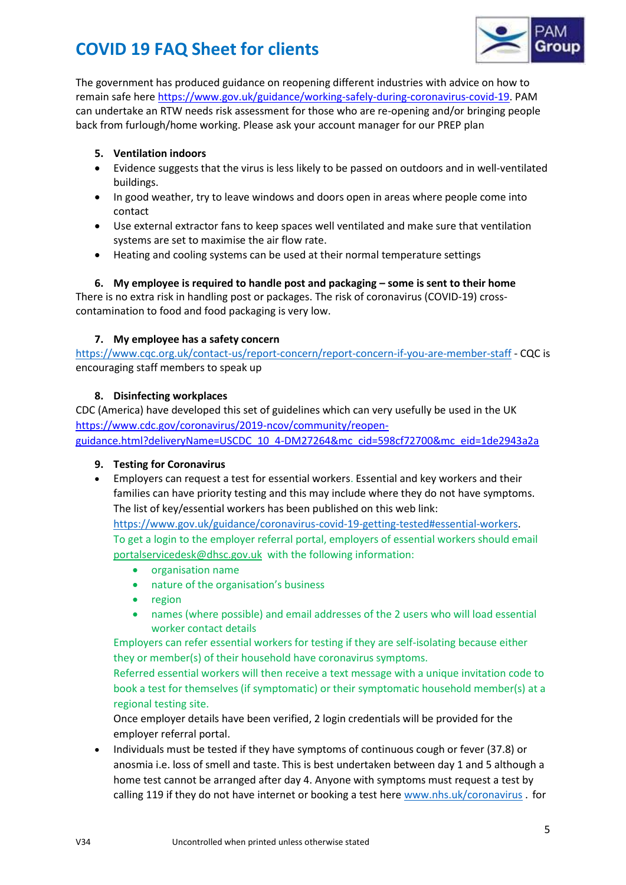

The government has produced guidance on reopening different industries with advice on how to remain safe here [https://www.gov.uk/guidance/working-safely-during-coronavirus-covid-19.](https://www.gov.uk/guidance/working-safely-during-coronavirus-covid-19) PAM can undertake an RTW needs risk assessment for those who are re-opening and/or bringing people back from furlough/home working. Please ask your account manager for our PREP plan

## **5. Ventilation indoors**

- Evidence suggests that the virus is less likely to be passed on outdoors and in well-ventilated buildings.
- In good weather, try to leave windows and doors open in areas where people come into contact
- Use external extractor fans to keep spaces well ventilated and make sure that ventilation systems are set to maximise the air flow rate.
- Heating and cooling systems can be used at their normal temperature settings

## **6. My employee is required to handle post and packaging – some is sent to their home**

There is no extra risk in handling post or packages. The risk of coronavirus (COVID-19) crosscontamination to food and food packaging is very low.

## **7. My employee has a safety concern**

<https://www.cqc.org.uk/contact-us/report-concern/report-concern-if-you-are-member-staff> - CQC is encouraging staff members to speak up

## **8. Disinfecting workplaces**

CDC (America) have developed this set of guidelines which can very usefully be used in the UK [https://www.cdc.gov/coronavirus/2019-ncov/community/reopen](https://www.cdc.gov/coronavirus/2019-ncov/community/reopen-guidance.html?deliveryName=USCDC_10_4-DM27264&mc_cid=598cf72700&mc_eid=1de2943a2a)[guidance.html?deliveryName=USCDC\\_10\\_4-DM27264&mc\\_cid=598cf72700&mc\\_eid=1de2943a2a](https://www.cdc.gov/coronavirus/2019-ncov/community/reopen-guidance.html?deliveryName=USCDC_10_4-DM27264&mc_cid=598cf72700&mc_eid=1de2943a2a)

### **9. Testing for Coronavirus**

• Employers can request a test for essential workers. Essential and key workers and their families can have priority testing and this may include where they do not have symptoms. The list of key/essential workers has been published on this web link:

[https://www.gov.uk/guidance/coronavirus-covid-19-getting-tested#essential-workers.](https://www.gov.uk/guidance/coronavirus-covid-19-getting-tested#essential-workers) To get a login to the employer referral portal, employers of essential workers should email [portalservicedesk@dhsc.gov.uk](mailto:portalservicedesk@dhsc.gov.uk) with the following information:

- organisation name
- nature of the organisation's business
- region
- names (where possible) and email addresses of the 2 users who will load essential worker contact details

Employers can refer essential workers for testing if they are self-isolating because either they or member(s) of their household have coronavirus symptoms.

Referred essential workers will then receive a text message with a unique invitation code to book a test for themselves (if symptomatic) or their symptomatic household member(s) at a regional testing site.

Once employer details have been verified, 2 login credentials will be provided for the employer referral portal.

• Individuals must be tested if they have symptoms of continuous cough or fever (37.8) or anosmia i.e. loss of smell and taste. This is best undertaken between day 1 and 5 although a home test cannot be arranged after day 4. Anyone with symptoms must request a test by calling 119 if they do not have internet or booking a test here [www.nhs.uk/coronavirus](https://www.nhs.uk/conditions/coronavirus-covid-19/) . for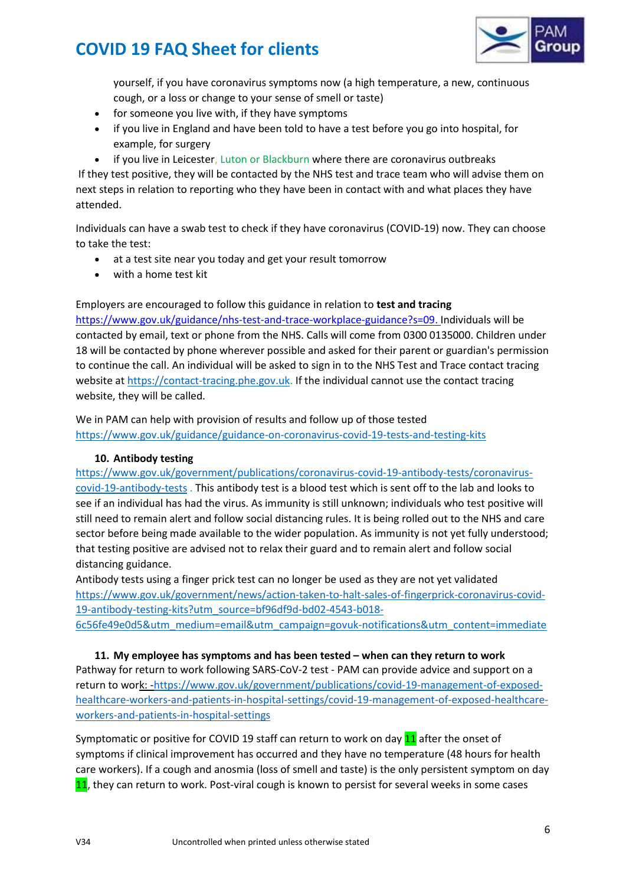

yourself, if you have coronavirus symptoms now (a high temperature, a new, continuous cough, or a loss or change to your sense of smell or taste)

- for someone you live with, if they have symptoms
- if you live in England and have been told to have a test before you go into hospital, for example, for surgery
- if you live in Leicester, Luton or Blackburn where there are coronavirus outbreaks

If they test positive, they will be contacted by the NHS test and trace team who will advise them on next steps in relation to reporting who they have been in contact with and what places they have attended.

Individuals can have a swab test to check if they have coronavirus (COVID-19) now. They can choose to take the test:

- at a test site near you today and get your result tomorrow
- with a home test kit

Employers are encouraged to follow this guidance in relation to **test and tracing** 

[https://www.gov.uk/guidance/nhs-test-and-trace-workplace-guidance?s=09.](https://www.gov.uk/guidance/nhs-test-and-trace-workplace-guidance?s=09) Individuals will be contacted by email, text or phone from the NHS. Calls will come from 0300 0135000. Children under 18 will be contacted by phone wherever possible and asked for their parent or guardian's permission to continue the call. An individual will be asked to sign in to the NHS Test and Trace contact tracing website at [https://contact-tracing.phe.gov.uk.](https://contact-tracing.phe.gov.uk/) If the individual cannot use the contact tracing website, they will be called.

We in PAM can help with provision of results and follow up of those tested <https://www.gov.uk/guidance/guidance-on-coronavirus-covid-19-tests-and-testing-kits>

### **10. Antibody testing**

[https://www.gov.uk/government/publications/coronavirus-covid-19-antibody-tests/coronavirus](https://www.gov.uk/government/publications/coronavirus-covid-19-antibody-tests/coronavirus-covid-19-antibody-tests)[covid-19-antibody-tests](https://www.gov.uk/government/publications/coronavirus-covid-19-antibody-tests/coronavirus-covid-19-antibody-tests) . This antibody test is a blood test which is sent off to the lab and looks to see if an individual has had the virus. As immunity is still unknown; individuals who test positive will still need to remain alert and follow social distancing rules. It is being rolled out to the NHS and care sector before being made available to the wider population. As immunity is not yet fully understood; that testing positive are advised not to relax their guard and to remain alert and follow social distancing guidance.

Antibody tests using a finger prick test can no longer be used as they are not yet validated [https://www.gov.uk/government/news/action-taken-to-halt-sales-of-fingerprick-coronavirus-covid-](https://www.gov.uk/government/news/action-taken-to-halt-sales-of-fingerprick-coronavirus-covid-19-antibody-testing-kits?utm_source=bf96df9d-bd02-4543-b018-6c56fe49e0d5&utm_medium=email&utm_campaign=govuk-notifications&utm_content=immediate)[19-antibody-testing-kits?utm\\_source=bf96df9d-bd02-4543-b018-](https://www.gov.uk/government/news/action-taken-to-halt-sales-of-fingerprick-coronavirus-covid-19-antibody-testing-kits?utm_source=bf96df9d-bd02-4543-b018-6c56fe49e0d5&utm_medium=email&utm_campaign=govuk-notifications&utm_content=immediate)

[6c56fe49e0d5&utm\\_medium=email&utm\\_campaign=govuk-notifications&utm\\_content=immediate](https://www.gov.uk/government/news/action-taken-to-halt-sales-of-fingerprick-coronavirus-covid-19-antibody-testing-kits?utm_source=bf96df9d-bd02-4543-b018-6c56fe49e0d5&utm_medium=email&utm_campaign=govuk-notifications&utm_content=immediate)

**11. My employee has symptoms and has been tested – when can they return to work**  Pathway for return to work following SARS-CoV-2 test - PAM can provide advice and support on a return to work: [-https://www.gov.uk/government/publications/covid-19-management-of-exposed](https://www.gov.uk/government/publications/covid-19-management-of-exposed-healthcare-workers-and-patients-in-hospital-settings/covid-19-management-of-exposed-healthcare-workers-and-patients-in-hospital-settings)[healthcare-workers-and-patients-in-hospital-settings/covid-19-management-of-exposed-healthcare](https://www.gov.uk/government/publications/covid-19-management-of-exposed-healthcare-workers-and-patients-in-hospital-settings/covid-19-management-of-exposed-healthcare-workers-and-patients-in-hospital-settings)[workers-and-patients-in-hospital-settings](https://www.gov.uk/government/publications/covid-19-management-of-exposed-healthcare-workers-and-patients-in-hospital-settings/covid-19-management-of-exposed-healthcare-workers-and-patients-in-hospital-settings)

Symptomatic or positive for COVID 19 staff can return to work on day 11 after the onset of symptoms if clinical improvement has occurred and they have no temperature (48 hours for health care workers). If a cough and anosmia (loss of smell and taste) is the only persistent symptom on day 11, they can return to work. Post-viral cough is known to persist for several weeks in some cases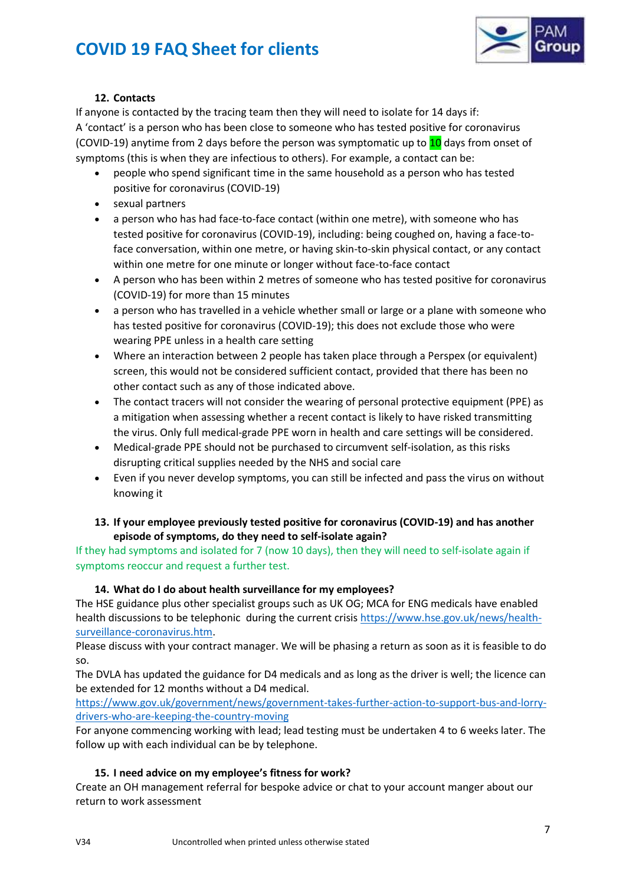

## **12. Contacts**

If anyone is contacted by the tracing team then they will need to isolate for 14 days if: A 'contact' is a person who has been close to someone who has tested positive for coronavirus (COVID-19) anytime from 2 days before the person was symptomatic up to 10 days from onset of symptoms (this is when they are infectious to others). For example, a contact can be:

- people who spend significant time in the same household as a person who has tested positive for coronavirus (COVID-19)
- sexual partners
- a person who has had face-to-face contact (within one metre), with someone who has tested positive for coronavirus (COVID-19), including: being coughed on, having a face-toface conversation, within one metre, or having skin-to-skin physical contact, or any contact within one metre for one minute or longer without face-to-face contact
- A person who has been within 2 metres of someone who has tested positive for coronavirus (COVID-19) for more than 15 minutes
- a person who has travelled in a vehicle whether small or large or a plane with someone who has tested positive for coronavirus (COVID-19); this does not exclude those who were wearing PPE unless in a health care setting
- Where an interaction between 2 people has taken place through a Perspex (or equivalent) screen, this would not be considered sufficient contact, provided that there has been no other contact such as any of those indicated above.
- The contact tracers will not consider the wearing of personal protective equipment (PPE) as a mitigation when assessing whether a recent contact is likely to have risked transmitting the virus. Only full medical-grade PPE worn in health and care settings will be considered.
- Medical-grade PPE should not be purchased to circumvent self-isolation, as this risks disrupting critical supplies needed by the NHS and social care
- Even if you never develop symptoms, you can still be infected and pass the virus on without knowing it

## **13. If your employee previously tested positive for coronavirus (COVID-19) and has another episode of symptoms, do they need to self-isolate again?**

If they had symptoms and isolated for 7 (now 10 days), then they will need to self-isolate again if symptoms reoccur and request a further test.

## **14. What do I do about health surveillance for my employees?**

The HSE guidance plus other specialist groups such as UK OG; MCA for ENG medicals have enabled health discussions to be telephonic during the current crisis [https://www.hse.gov.uk/news/health](https://www.hse.gov.uk/news/health-surveillance-coronavirus.htm)[surveillance-coronavirus.htm.](https://www.hse.gov.uk/news/health-surveillance-coronavirus.htm)

Please discuss with your contract manager. We will be phasing a return as soon as it is feasible to do so.

The DVLA has updated the guidance for D4 medicals and as long as the driver is well; the licence can be extended for 12 months without a D4 medical.

[https://www.gov.uk/government/news/government-takes-further-action-to-support-bus-and-lorry](https://www.gov.uk/government/news/government-takes-further-action-to-support-bus-and-lorry-drivers-who-are-keeping-the-country-moving)[drivers-who-are-keeping-the-country-moving](https://www.gov.uk/government/news/government-takes-further-action-to-support-bus-and-lorry-drivers-who-are-keeping-the-country-moving)

For anyone commencing working with lead; lead testing must be undertaken 4 to 6 weeks later. The follow up with each individual can be by telephone.

## **15. I need advice on my employee's fitness for work?**

Create an OH management referral for bespoke advice or chat to your account manger about our return to work assessment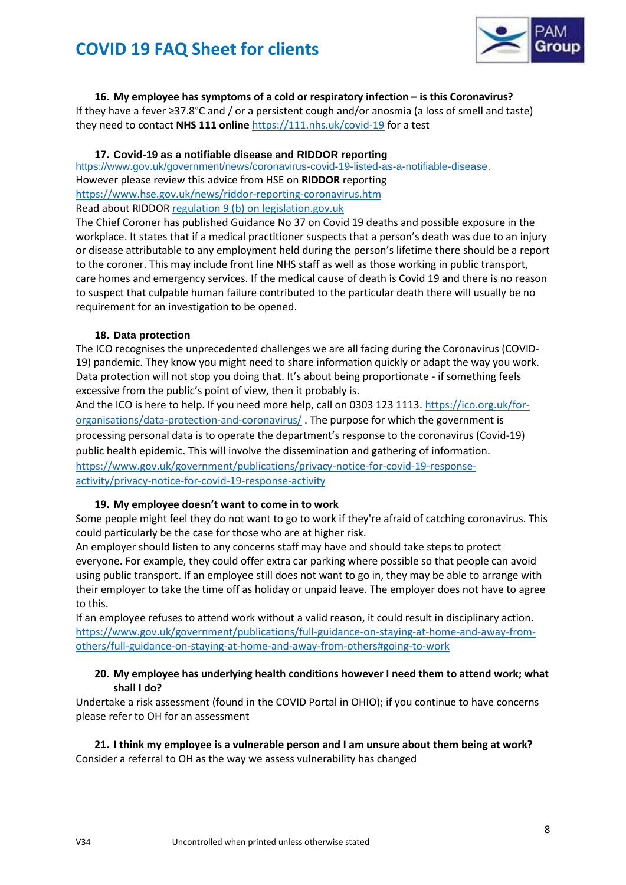

**16. My employee has symptoms of a cold or respiratory infection – is this Coronavirus?** If they have a fever ≥37.8°C and / or a persistent cough and/or anosmia (a loss of smell and taste) they need to contact **NHS 111 online** <https://111.nhs.uk/covid-19> for a test

### **17. Covid-19 as a notifiable disease and RIDDOR reporting**

[https://www.gov.uk/government/news/coronavirus-covid-19-listed-as-a-notifiable-disease.](https://www.gov.uk/government/news/coronavirus-covid-19-listed-as-a-notifiable-disease) However please review this advice from HSE on **RIDDOR** reporting <https://www.hse.gov.uk/news/riddor-reporting-coronavirus.htm> Read about RIDDOR [regulation 9 \(b\) on legislation.gov.uk](http://www.legislation.gov.uk/uksi/2013/1471/regulation/9/made) 

The Chief Coroner has published Guidance No 37 on Covid 19 deaths and possible exposure in the workplace. It states that if a medical practitioner suspects that a person's death was due to an injury or disease attributable to any employment held during the person's lifetime there should be a report to the coroner. This may include front line NHS staff as well as those working in public transport, care homes and emergency services. If the medical cause of death is Covid 19 and there is no reason to suspect that culpable human failure contributed to the particular death there will usually be no requirement for an investigation to be opened.

### **18. Data protection**

The ICO recognises the unprecedented challenges we are all facing during the Coronavirus (COVID-19) pandemic. They know you might need to share information quickly or adapt the way you work. Data protection will not stop you doing that. It's about being proportionate - if something feels excessive from the public's point of view, then it probably is.

And the ICO is here to help. If you need more help, call on 0303 123 1113. [https://ico.org.uk/for](https://ico.org.uk/for-organisations/data-protection-and-coronavirus/)[organisations/data-protection-and-coronavirus/](https://ico.org.uk/for-organisations/data-protection-and-coronavirus/) . The purpose for which the government is processing personal data is to operate the department's response to the coronavirus (Covid-19) public health epidemic. This will involve the dissemination and gathering of information. [https://www.gov.uk/government/publications/privacy-notice-for-covid-19-response](https://www.gov.uk/government/publications/privacy-notice-for-covid-19-response-activity/privacy-notice-for-covid-19-response-activity)[activity/privacy-notice-for-covid-19-response-activity](https://www.gov.uk/government/publications/privacy-notice-for-covid-19-response-activity/privacy-notice-for-covid-19-response-activity)

### **19. My employee doesn't want to come in to work**

Some people might feel they do not want to go to work if they're afraid of catching coronavirus. This could particularly be the case for those who are at higher risk.

An employer should listen to any concerns staff may have and should take steps to protect everyone. For example, they could offer extra car parking where possible so that people can avoid using public transport. If an employee still does not want to go in, they may be able to arrange with their employer to take the time off as holiday or unpaid leave. The employer does not have to agree to this.

If an employee refuses to attend work without a valid reason, it could result in disciplinary action. [https://www.gov.uk/government/publications/full-guidance-on-staying-at-home-and-away-from](https://www.gov.uk/government/publications/full-guidance-on-staying-at-home-and-away-from-others/full-guidance-on-staying-at-home-and-away-from-others#going-to-work)[others/full-guidance-on-staying-at-home-and-away-from-others#going-to-work](https://www.gov.uk/government/publications/full-guidance-on-staying-at-home-and-away-from-others/full-guidance-on-staying-at-home-and-away-from-others#going-to-work)

### **20. My employee has underlying health conditions however I need them to attend work; what shall I do?**

Undertake a risk assessment (found in the COVID Portal in OHIO); if you continue to have concerns please refer to OH for an assessment

**21. I think my employee is a vulnerable person and I am unsure about them being at work?**  Consider a referral to OH as the way we assess vulnerability has changed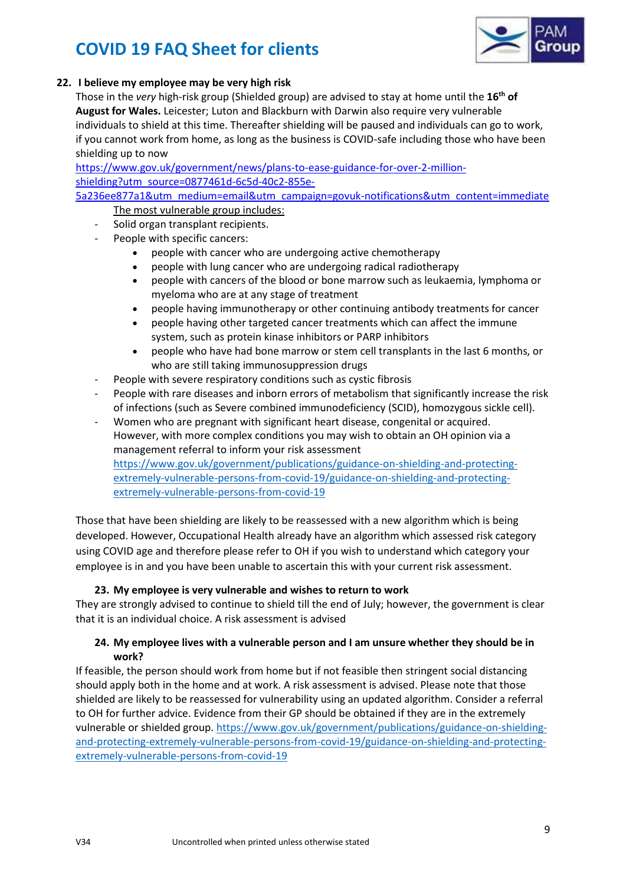

## **22. I believe my employee may be very high risk**

Those in the *very* high-risk group (Shielded group) are advised to stay at home until the **16th of August for Wales.** Leicester; Luton and Blackburn with Darwin also require very vulnerable individuals to shield at this time. Thereafter shielding will be paused and individuals can go to work, if you cannot work from home, as long as the business is COVID-safe including those who have been shielding up to now

[https://www.gov.uk/government/news/plans-to-ease-guidance-for-over-2-million](https://www.gov.uk/government/news/plans-to-ease-guidance-for-over-2-million-shielding?utm_source=0877461d-6c5d-40c2-855e-5a236ee877a1&utm_medium=email&utm_campaign=govuk-notifications&utm_content=immediate)[shielding?utm\\_source=0877461d-6c5d-40c2-855e-](https://www.gov.uk/government/news/plans-to-ease-guidance-for-over-2-million-shielding?utm_source=0877461d-6c5d-40c2-855e-5a236ee877a1&utm_medium=email&utm_campaign=govuk-notifications&utm_content=immediate)

[5a236ee877a1&utm\\_medium=email&utm\\_campaign=govuk-notifications&utm\\_content=immediate](https://www.gov.uk/government/news/plans-to-ease-guidance-for-over-2-million-shielding?utm_source=0877461d-6c5d-40c2-855e-5a236ee877a1&utm_medium=email&utm_campaign=govuk-notifications&utm_content=immediate) The most vulnerable group includes:

- Solid organ transplant recipients.
- People with specific cancers:
	- people with cancer who are undergoing active chemotherapy
	- people with lung cancer who are undergoing radical radiotherapy
	- people with cancers of the blood or bone marrow such as leukaemia, lymphoma or myeloma who are at any stage of treatment
	- people having immunotherapy or other continuing antibody treatments for cancer
	- people having other targeted cancer treatments which can affect the immune system, such as protein kinase inhibitors or PARP inhibitors
	- people who have had bone marrow or stem cell transplants in the last 6 months, or who are still taking immunosuppression drugs
- People with severe respiratory conditions such as cystic fibrosis
- People with rare diseases and inborn errors of metabolism that significantly increase the risk of infections (such as Severe combined immunodeficiency (SCID), homozygous sickle cell).
- Women who are pregnant with significant heart disease, congenital or acquired. However, with more complex conditions you may wish to obtain an OH opinion via a management referral to inform your risk assessment [https://www.gov.uk/government/publications/guidance-on-shielding-and-protecting](https://www.gov.uk/government/publications/guidance-on-shielding-and-protecting-extremely-vulnerable-persons-from-covid-19/guidance-on-shielding-and-protecting-extremely-vulnerable-persons-from-covid-19)[extremely-vulnerable-persons-from-covid-19/guidance-on-shielding-and-protecting](https://www.gov.uk/government/publications/guidance-on-shielding-and-protecting-extremely-vulnerable-persons-from-covid-19/guidance-on-shielding-and-protecting-extremely-vulnerable-persons-from-covid-19)[extremely-vulnerable-persons-from-covid-19](https://www.gov.uk/government/publications/guidance-on-shielding-and-protecting-extremely-vulnerable-persons-from-covid-19/guidance-on-shielding-and-protecting-extremely-vulnerable-persons-from-covid-19)

Those that have been shielding are likely to be reassessed with a new algorithm which is being developed. However, Occupational Health already have an algorithm which assessed risk category using COVID age and therefore please refer to OH if you wish to understand which category your employee is in and you have been unable to ascertain this with your current risk assessment.

### **23. My employee is very vulnerable and wishes to return to work**

They are strongly advised to continue to shield till the end of July; however, the government is clear that it is an individual choice. A risk assessment is advised

## **24. My employee lives with a vulnerable person and I am unsure whether they should be in work?**

If feasible, the person should work from home but if not feasible then stringent social distancing should apply both in the home and at work. A risk assessment is advised. Please note that those shielded are likely to be reassessed for vulnerability using an updated algorithm. Consider a referral to OH for further advice. Evidence from their GP should be obtained if they are in the extremely vulnerable or shielded group. [https://www.gov.uk/government/publications/guidance-on-shielding](https://www.gov.uk/government/publications/guidance-on-shielding-and-protecting-extremely-vulnerable-persons-from-covid-19/guidance-on-shielding-and-protecting-extremely-vulnerable-persons-from-covid-19)[and-protecting-extremely-vulnerable-persons-from-covid-19/guidance-on-shielding-and-protecting](https://www.gov.uk/government/publications/guidance-on-shielding-and-protecting-extremely-vulnerable-persons-from-covid-19/guidance-on-shielding-and-protecting-extremely-vulnerable-persons-from-covid-19)[extremely-vulnerable-persons-from-covid-19](https://www.gov.uk/government/publications/guidance-on-shielding-and-protecting-extremely-vulnerable-persons-from-covid-19/guidance-on-shielding-and-protecting-extremely-vulnerable-persons-from-covid-19)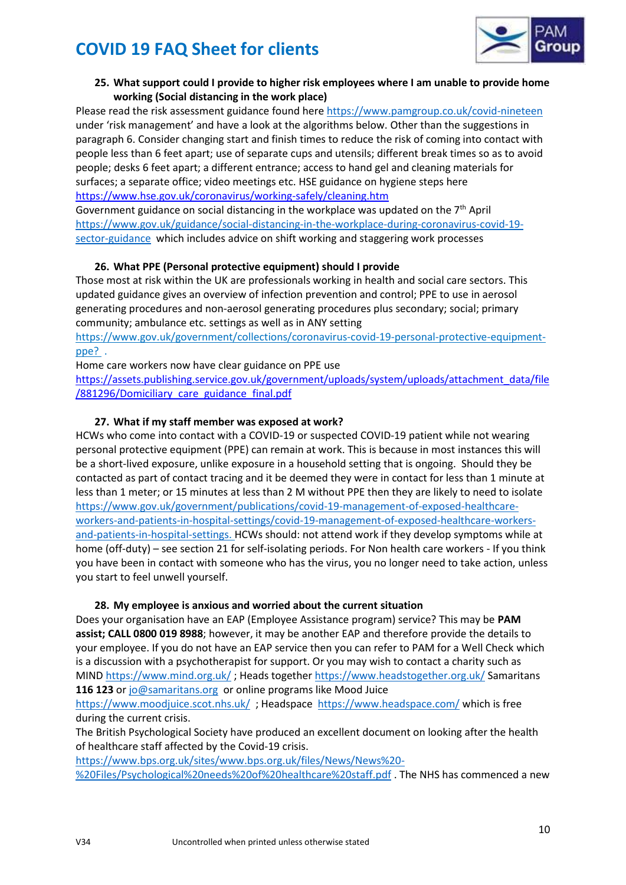

## **25. What support could I provide to higher risk employees where I am unable to provide home working (Social distancing in the work place)**

Please read the risk assessment guidance found her[e https://www.pamgroup.co.uk/covid-nineteen](https://www.pamgroup.co.uk/covid-nineteen) under 'risk management' and have a look at the algorithms below. Other than the suggestions in paragraph 6. Consider changing start and finish times to reduce the risk of coming into contact with people less than 6 feet apart; use of separate cups and utensils; different break times so as to avoid people; desks 6 feet apart; a different entrance; access to hand gel and cleaning materials for surfaces; a separate office; video meetings etc. HSE guidance on hygiene steps here <https://www.hse.gov.uk/coronavirus/working-safely/cleaning.htm>

Government guidance on social distancing in the workplace was updated on the  $7<sup>th</sup>$  April [https://www.gov.uk/guidance/social-distancing-in-the-workplace-during-coronavirus-covid-19](https://www.gov.uk/guidance/social-distancing-in-the-workplace-during-coronavirus-covid-19-sector-guidance) [sector-guidance](https://www.gov.uk/guidance/social-distancing-in-the-workplace-during-coronavirus-covid-19-sector-guidance) which includes advice on shift working and staggering work processes

## **26. What PPE (Personal protective equipment) should I provide**

Those most at risk within the UK are professionals working in health and social care sectors. This updated guidance gives an overview of infection prevention and control; PPE to use in aerosol generating procedures and non-aerosol generating procedures plus secondary; social; primary community; ambulance etc. settings as well as in ANY setting

[https://www.gov.uk/government/collections/coronavirus-covid-19-personal-protective-equipment](https://www.gov.uk/government/collections/coronavirus-covid-19-personal-protective-equipment-ppe?%20)[ppe?](https://www.gov.uk/government/collections/coronavirus-covid-19-personal-protective-equipment-ppe?%20) .

Home care workers now have clear guidance on PPE use

[https://assets.publishing.service.gov.uk/government/uploads/system/uploads/attachment\\_data/file](https://assets.publishing.service.gov.uk/government/uploads/system/uploads/attachment_data/file/881296/Domiciliary_care_guidance_final.pdf) [/881296/Domiciliary\\_care\\_guidance\\_final.pdf](https://assets.publishing.service.gov.uk/government/uploads/system/uploads/attachment_data/file/881296/Domiciliary_care_guidance_final.pdf)

## **27. What if my staff member was exposed at work?**

HCWs who come into contact with a COVID-19 or suspected COVID-19 patient while not wearing personal protective equipment (PPE) can remain at work. This is because in most instances this will be a short-lived exposure, unlike exposure in a household setting that is ongoing. Should they be contacted as part of contact tracing and it be deemed they were in contact for less than 1 minute at less than 1 meter; or 15 minutes at less than 2 M without PPE then they are likely to need to isolate [https://www.gov.uk/government/publications/covid-19-management-of-exposed-healthcare](https://www.gov.uk/government/publications/covid-19-management-of-exposed-healthcare-workers-and-patients-in-hospital-settings/covid-19-management-of-exposed-healthcare-workers-and-patients-in-hospital-settings)[workers-and-patients-in-hospital-settings/covid-19-management-of-exposed-healthcare-workers](https://www.gov.uk/government/publications/covid-19-management-of-exposed-healthcare-workers-and-patients-in-hospital-settings/covid-19-management-of-exposed-healthcare-workers-and-patients-in-hospital-settings)[and-patients-in-hospital-settings.](https://www.gov.uk/government/publications/covid-19-management-of-exposed-healthcare-workers-and-patients-in-hospital-settings/covid-19-management-of-exposed-healthcare-workers-and-patients-in-hospital-settings) HCWs should: not attend work if they develop symptoms while at home (off-duty) – see section 21 for self-isolating periods. For Non health care workers - If you think you have been in contact with someone who has the virus, you no longer need to take action, unless you start to feel unwell yourself.

## **28. My employee is anxious and worried about the current situation**

Does your organisation have an EAP (Employee Assistance program) service? This may be **PAM assist; CALL 0800 019 8988**; however, it may be another EAP and therefore provide the details to your employee. If you do not have an EAP service then you can refer to PAM for a Well Check which is a discussion with a psychotherapist for support. Or you may wish to contact a charity such as MIND <https://www.mind.org.uk/> ; Heads togethe[r https://www.headstogether.org.uk/](https://www.headstogether.org.uk/) Samaritans **116 123** o[r jo@samaritans.org](mailto:jo@samaritans.org) or online programs like Mood Juice

<https://www.moodjuice.scot.nhs.uk/>; Headspace <https://www.headspace.com/> which is free during the current crisis.

The British Psychological Society have produced an excellent document on looking after the health of healthcare staff affected by the Covid-19 crisis.

[https://www.bps.org.uk/sites/www.bps.org.uk/files/News/News%20-](https://www.bps.org.uk/sites/www.bps.org.uk/files/News/News%20-%20Files/Psychological%20needs%20of%20healthcare%20staff.pdf) [%20Files/Psychological%20needs%20of%20healthcare%20staff.pdf](https://www.bps.org.uk/sites/www.bps.org.uk/files/News/News%20-%20Files/Psychological%20needs%20of%20healthcare%20staff.pdf) . The NHS has commenced a new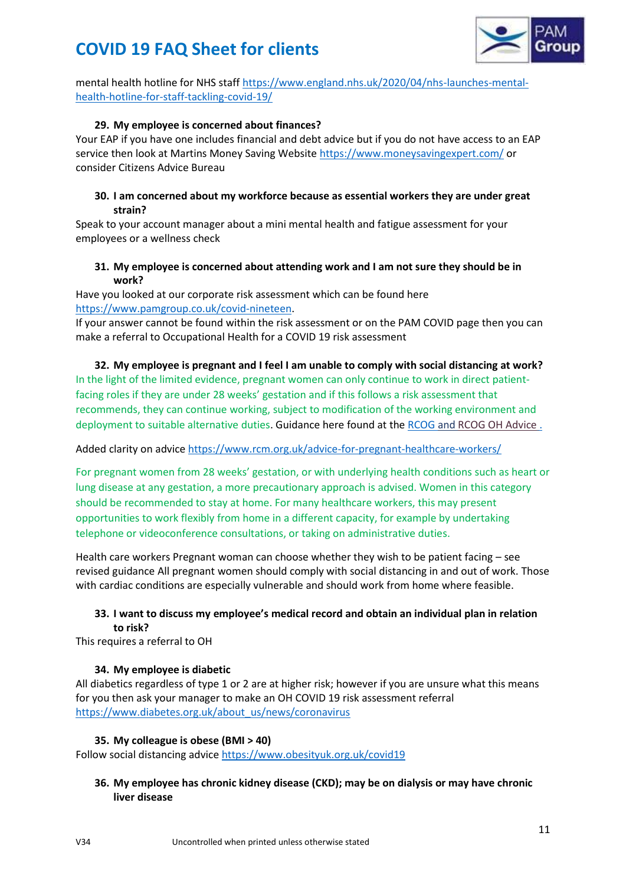

mental health hotline for NHS staf[f https://www.england.nhs.uk/2020/04/nhs-launches-mental](https://www.england.nhs.uk/2020/04/nhs-launches-mental-health-hotline-for-staff-tackling-covid-19/)[health-hotline-for-staff-tackling-covid-19/](https://www.england.nhs.uk/2020/04/nhs-launches-mental-health-hotline-for-staff-tackling-covid-19/)

### **29. My employee is concerned about finances?**

Your EAP if you have one includes financial and debt advice but if you do not have access to an EAP service then look at Martins Money Saving Website<https://www.moneysavingexpert.com/> or consider Citizens Advice Bureau

## **30. I am concerned about my workforce because as essential workers they are under great strain?**

Speak to your account manager about a mini mental health and fatigue assessment for your employees or a wellness check

## **31. My employee is concerned about attending work and I am not sure they should be in work?**

Have you looked at our corporate risk assessment which can be found here [https://www.pamgroup.co.uk/covid-nineteen.](https://www.pamgroup.co.uk/covid-nineteen)

If your answer cannot be found within the risk assessment or on the PAM COVID page then you can make a referral to Occupational Health for a COVID 19 risk assessment

**32. My employee is pregnant and I feel I am unable to comply with social distancing at work?** In the light of the limited evidence, pregnant women can only continue to work in direct patientfacing roles if they are under 28 weeks' gestation and if this follows a risk assessment that recommends, they can continue working, subject to modification of the working environment and deployment to suitable alternative duties. Guidance here found at th[e RCOG](https://www.rcog.org.uk/coronavirus-pregnancy) an[d RCOG OH Advice](https://www.rcog.org.uk/globalassets/documents/guidelines/2020-04-21-occupational-health-advice-for-employers-and-pregnant-women.pdf) .

### Added clarity on advice<https://www.rcm.org.uk/advice-for-pregnant-healthcare-workers/>

For pregnant women from 28 weeks' gestation, or with underlying health conditions such as heart or lung disease at any gestation, a more precautionary approach is advised. Women in this category should be recommended to stay at home. For many healthcare workers, this may present opportunities to work flexibly from home in a different capacity, for example by undertaking telephone or videoconference consultations, or taking on administrative duties.

Health care workers Pregnant woman can choose whether they wish to be patient facing – see revised guidance All pregnant women should comply with social distancing in and out of work. Those with cardiac conditions are especially vulnerable and should work from home where feasible.

## **33. I want to discuss my employee's medical record and obtain an individual plan in relation to risk?**

This requires a referral to OH

### **34. My employee is diabetic**

All diabetics regardless of type 1 or 2 are at higher risk; however if you are unsure what this means for you then ask your manager to make an OH COVID 19 risk assessment referral [https://www.diabetes.org.uk/about\\_us/news/coronavirus](https://www.diabetes.org.uk/about_us/news/coronavirus)

### **35. My colleague is obese (BMI > 40)**

Follow social distancing advic[e https://www.obesityuk.org.uk/covid19](https://www.obesityuk.org.uk/covid19)

## **36. My employee has chronic kidney disease (CKD); may be on dialysis or may have chronic liver disease**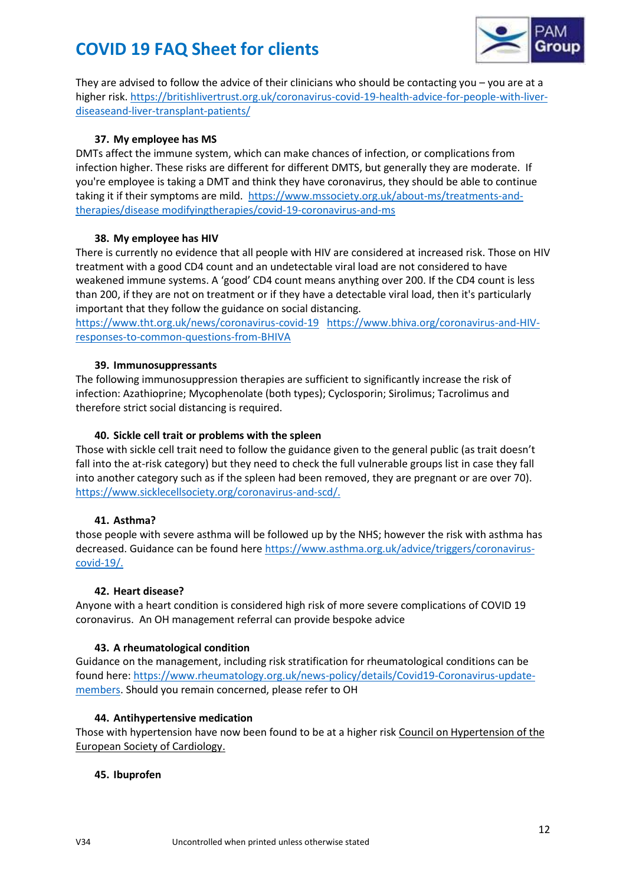

They are advised to follow the advice of their clinicians who should be contacting you – you are at a higher risk. [https://britishlivertrust.org.uk/coronavirus-covid-19-health-advice-for-people-with-liver](https://britishlivertrust.org.uk/coronavirus-covid-19-health-advice-for-people-with-liver-diseaseand-liver-transplant-patients/)[diseaseand-liver-transplant-patients/](https://britishlivertrust.org.uk/coronavirus-covid-19-health-advice-for-people-with-liver-diseaseand-liver-transplant-patients/) 

## **37. My employee has MS**

DMTs affect the immune system, which can make chances of infection, or complications from infection higher. These risks are different for different DMTS, but generally they are moderate. If you're employee is taking a DMT and think they have coronavirus, they should be able to continue taking it if their symptoms are mild. [https://www.mssociety.org.uk/about-ms/treatments-and](https://www.mssociety.org.uk/about-ms/treatments-and-therapies/disease%20modifyingtherapies/covid-19-coronavirus-and-ms)[therapies/disease modifyingtherapies/covid-19-coronavirus-and-ms](https://www.mssociety.org.uk/about-ms/treatments-and-therapies/disease%20modifyingtherapies/covid-19-coronavirus-and-ms)

## **38. My employee has HIV**

There is currently no evidence that all people with HIV are considered at increased risk. Those on HIV treatment with a good CD4 count and an undetectable viral load are not considered to have weakened immune systems. A 'good' CD4 count means anything over 200. If the CD4 count is less than 200, if they are not on treatment or if they have a detectable viral load, then it's particularly important that they follow the guidance on social distancing.

<https://www.tht.org.uk/news/coronavirus-covid-19>[https://www.bhiva.org/coronavirus-and-HIV](https://www.bhiva.org/coronavirus-and-HIV-responses-to-common-questions-from-BHIVA)[responses-to-common-questions-from-BHIVA](https://www.bhiva.org/coronavirus-and-HIV-responses-to-common-questions-from-BHIVA)

## **39. Immunosuppressants**

The following immunosuppression therapies are sufficient to significantly increase the risk of infection: Azathioprine; Mycophenolate (both types); Cyclosporin; Sirolimus; Tacrolimus and therefore strict social distancing is required.

## **40. Sickle cell trait or problems with the spleen**

Those with sickle cell trait need to follow the guidance given to the general public (as trait doesn't fall into the at-risk category) but they need to check the full vulnerable groups list in case they fall into another category such as if the spleen had been removed, they are pregnant or are over 70). [https://www.sicklecellsociety.org/coronavirus-and-scd/.](https://www.sicklecellsociety.org/coronavirus-and-scd/)

### **41. Asthma?**

those people with severe asthma will be followed up by the NHS; however the risk with asthma has decreased. Guidance can be found here [https://www.asthma.org.uk/advice/triggers/coronavirus](https://www.asthma.org.uk/advice/triggers/coronavirus-covid-19/)[covid-19/.](https://www.asthma.org.uk/advice/triggers/coronavirus-covid-19/)

### **42. Heart disease?**

Anyone with a heart condition is considered high risk of more severe complications of COVID 19 coronavirus. An OH management referral can provide bespoke advice

### **43. A rheumatological condition**

Guidance on the management, including risk stratification for rheumatological conditions can be found here: [https://www.rheumatology.org.uk/news-policy/details/Covid19-Coronavirus-update](https://www.rheumatology.org.uk/news-policy/details/Covid19-Coronavirus-update-members)[members.](https://www.rheumatology.org.uk/news-policy/details/Covid19-Coronavirus-update-members) Should you remain concerned, please refer to OH

### **44. Antihypertensive medication**

Those with hypertension have now been found to be at a higher risk [Council on Hypertension of the](https://www.escardio.org/Councils/Council-on-Hypertension-(CHT))  [European Society of Cardiology.](https://www.escardio.org/Councils/Council-on-Hypertension-(CHT))

### **45. Ibuprofen**